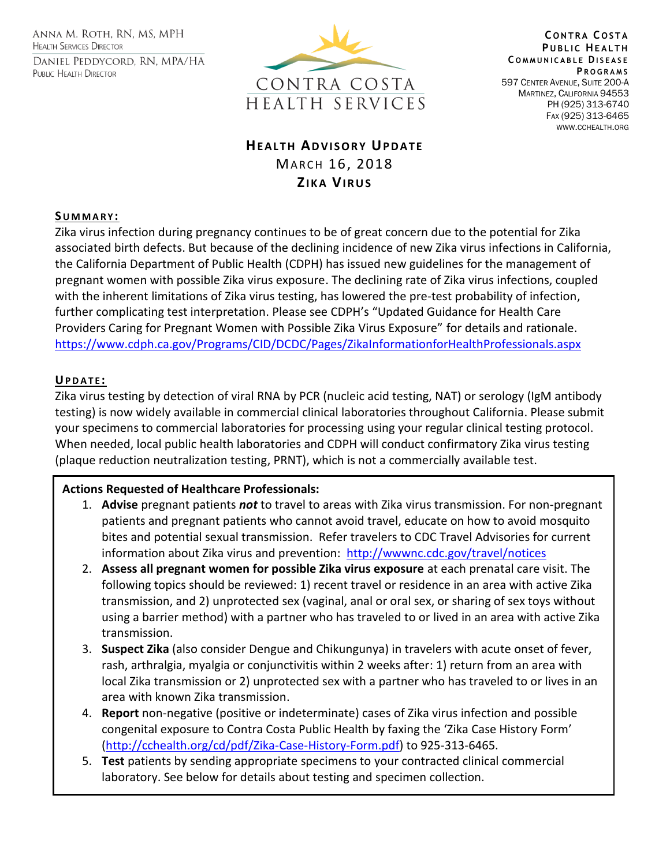ANNA M. ROTH, RN, MS, MPH **HEALTH SERVICES DIRECTOR** DANIEL PEDDYCORD, RN, MPA/HA PUBLIC HEALTH DIRECTOR



**C O N T R A C O S T A PUBLIC HEALTH C O M M U N I C A B L E DI S E A S E P R O G R A M S** 597 CENTER AVENUE, SUITE 200-A MARTINEZ, CALIFORNIA 94553 PH (925) 313-6740 FAX (925) 313-6465 WWW.CCHEALTH.ORG

# **HEALTH ADVISORY UPDATE** MARCH 16, 2018 **ZI K A VI R U S**

## **SU M M A R Y :**

Zika virus infection during pregnancy continues to be of great concern due to the potential for Zika associated birth defects. But because of the declining incidence of new Zika virus infections in California, the California Department of Public Health (CDPH) has issued new guidelines for the management of pregnant women with possible Zika virus exposure. The declining rate of Zika virus infections, coupled with the inherent limitations of Zika virus testing, has lowered the pre-test probability of infection, further complicating test interpretation. Please see CDPH's "Updated Guidance for Health Care Providers Caring for Pregnant Women with Possible Zika Virus Exposure" for details and rationale. <https://www.cdph.ca.gov/Programs/CID/DCDC/Pages/ZikaInformationforHealthProfessionals.aspx>

# **UP D A T E :**

Zika virus testing by detection of viral RNA by PCR (nucleic acid testing, NAT) or serology (IgM antibody testing) is now widely available in commercial clinical laboratories throughout California. Please submit your specimens to commercial laboratories for processing using your regular clinical testing protocol. When needed, local public health laboratories and CDPH will conduct confirmatory Zika virus testing (plaque reduction neutralization testing, PRNT), which is not a commercially available test.

# **Actions Requested of Healthcare Professionals:**

- 1. **Advise** pregnant patients *not* to travel to areas with Zika virus transmission. For non-pregnant patients and pregnant patients who cannot avoid travel, educate on how to avoid mosquito bites and potential sexual transmission. Refer travelers to CDC Travel Advisories for current information about Zika virus and prevention: <http://wwwnc.cdc.gov/travel/notices>
- 2. **Assess all pregnant women for possible Zika virus exposure** at each prenatal care visit. The following topics should be reviewed: 1) recent travel or residence in an area with active Zika transmission, and 2) unprotected sex (vaginal, anal or oral sex, or sharing of sex toys without using a barrier method) with a partner who has traveled to or lived in an area with active Zika transmission.
- 3. **Suspect Zika** (also consider Dengue and Chikungunya) in travelers with acute onset of fever, rash, arthralgia, myalgia or conjunctivitis within 2 weeks after: 1) return from an area with local Zika transmission or 2) unprotected sex with a partner who has traveled to or lives in an area with known Zika transmission.
- 4. **Report** non-negative (positive or indeterminate) cases of Zika virus infection and possible congenital exposure to Contra Costa Public Health by faxing the 'Zika Case History Form' [\(http://cchealth.org/cd/pdf/Zika-Case-History-Form.pdf\)](http://cchealth.org/cd/pdf/Zika-Case-History-Form.pdf) to 925-313-6465.
- 5. **Test** patients by sending appropriate specimens to your contracted clinical commercial laboratory. See below for details about testing and specimen collection.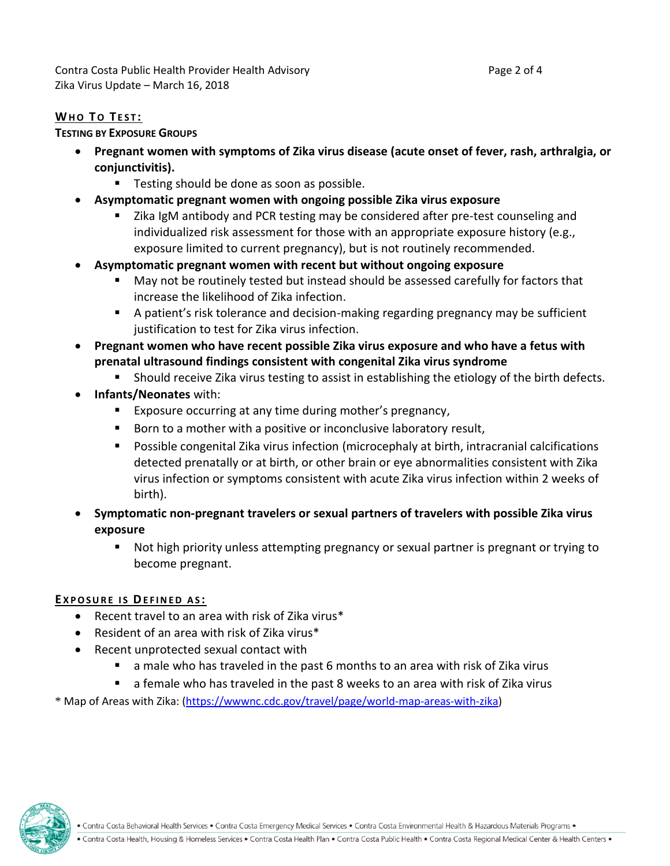# **WHO TO TEST:**

### **TESTING BY EXPOSURE GROUPS**

- **Pregnant women with symptoms of Zika virus disease (acute onset of fever, rash, arthralgia, or conjunctivitis).**
	- Testing should be done as soon as possible.
- **Asymptomatic pregnant women with ongoing possible Zika virus exposure**
	- Zika IgM antibody and PCR testing may be considered after pre-test counseling and individualized risk assessment for those with an appropriate exposure history (e.g., exposure limited to current pregnancy), but is not routinely recommended.
- **Asymptomatic pregnant women with recent but without ongoing exposure**
	- May not be routinely tested but instead should be assessed carefully for factors that increase the likelihood of Zika infection.
	- A patient's risk tolerance and decision-making regarding pregnancy may be sufficient justification to test for Zika virus infection.
- **Pregnant women who have recent possible Zika virus exposure and who have a fetus with prenatal ultrasound findings consistent with congenital Zika virus syndrome**
	- **Should receive Zika virus testing to assist in establishing the etiology of the birth defects.**
- **Infants/Neonates** with:
	- **Exposure occurring at any time during mother's pregnancy,**
	- Born to a mother with a positive or inconclusive laboratory result,
	- Possible congenital Zika virus infection (microcephaly at birth, intracranial calcifications detected prenatally or at birth, or other brain or eye abnormalities consistent with Zika virus infection or symptoms consistent with acute Zika virus infection within 2 weeks of birth).
- **Symptomatic non-pregnant travelers or sexual partners of travelers with possible Zika virus exposure**
	- Not high priority unless attempting pregnancy or sexual partner is pregnant or trying to become pregnant.

### **E X P O S U R E I S DE F I N E D A S :**

- Recent travel to an area with risk of Zika virus\*
- Resident of an area with risk of Zika virus\*
- Recent unprotected sexual contact with
	- a male who has traveled in the past 6 months to an area with risk of Zika virus
	- a female who has traveled in the past 8 weeks to an area with risk of Zika virus

\* Map of Areas with Zika: [\(https://wwwnc.cdc.gov/travel/page/world-map-areas-with-zika\)](https://wwwnc.cdc.gov/travel/page/world-map-areas-with-zika)

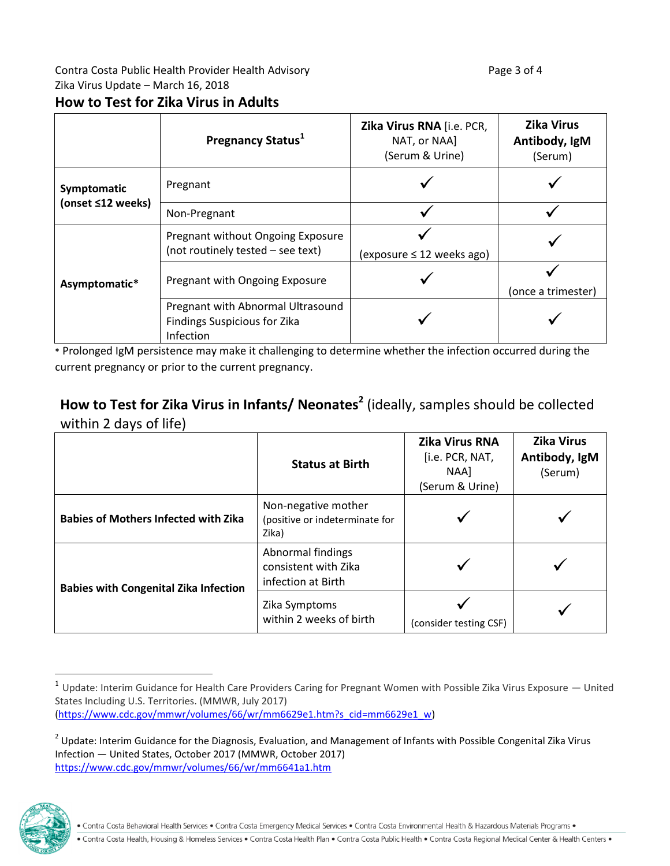# **How to Test for Zika Virus in Adults**

|                                  | Pregnancy Status <sup>1</sup>                                                         | Zika Virus RNA [i.e. PCR,<br>NAT, or NAA]<br>(Serum & Urine) | <b>Zika Virus</b><br>Antibody, IgM<br>(Serum) |
|----------------------------------|---------------------------------------------------------------------------------------|--------------------------------------------------------------|-----------------------------------------------|
| Symptomatic<br>(onset ≤12 weeks) | Pregnant                                                                              |                                                              |                                               |
|                                  | Non-Pregnant                                                                          |                                                              |                                               |
| Asymptomatic*                    | Pregnant without Ongoing Exposure<br>(not routinely tested - see text)                | $(exposure \leq 12 weeks ago)$                               |                                               |
|                                  | Pregnant with Ongoing Exposure                                                        |                                                              | (once a trimester)                            |
|                                  | Pregnant with Abnormal Ultrasound<br><b>Findings Suspicious for Zika</b><br>Infection |                                                              |                                               |

**\*** Prolonged IgM persistence may make it challenging to determine whether the infection occurred during the current pregnancy or prior to the current pregnancy.

# **How to Test for Zika Virus in Infants/ Neonates<sup>2</sup>** (ideally, samples should be collected within 2 days of life)

|                                              | <b>Status at Birth</b>                                          | <b>Zika Virus RNA</b><br>[i.e. PCR, NAT,<br>NAA1<br>(Serum & Urine) | <b>Zika Virus</b><br>Antibody, IgM<br>(Serum) |
|----------------------------------------------|-----------------------------------------------------------------|---------------------------------------------------------------------|-----------------------------------------------|
| <b>Babies of Mothers Infected with Zika</b>  | Non-negative mother<br>(positive or indeterminate for<br>Zika)  |                                                                     |                                               |
| <b>Babies with Congenital Zika Infection</b> | Abnormal findings<br>consistent with Zika<br>infection at Birth |                                                                     |                                               |
|                                              | Zika Symptoms<br>within 2 weeks of birth                        | (consider testing CSF)                                              |                                               |

 $^2$  Update: Interim Guidance for the Diagnosis, Evaluation, and Management of Infants with Possible Congenital Zika Virus Infection — United States, October 2017 (MMWR, October 2017) <https://www.cdc.gov/mmwr/volumes/66/wr/mm6641a1.htm>



 $\overline{a}$ 

<sup>1</sup> Update: Interim Guidance for Health Care Providers Caring for Pregnant Women with Possible Zika Virus Exposure — United States Including U.S. Territories. (MMWR, July 2017) [\(https://www.cdc.gov/mmwr/volumes/66/wr/mm6629e1.htm?s\\_cid=mm6629e1\\_w\)](https://www.cdc.gov/mmwr/volumes/66/wr/mm6629e1.htm?s_cid=mm6629e1_w)

<sup>.</sup> Contra Costa Behavioral Health Services . Contra Costa Emergency Medical Services . Contra Costa Environmental Health & Hazardous Materials Programs .